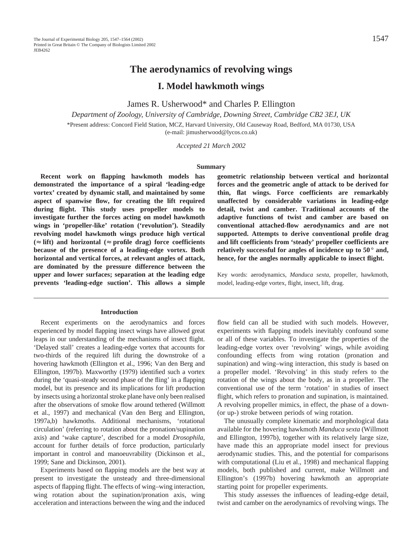# **The aerodynamics of revolving wings**

**I. Model hawkmoth wings**

James R. Usherwood\* and Charles P. Ellington

*Department of Zoology, University of Cambridge, Downing Street, Cambridge CB2 3EJ, UK* \*Present address: Concord Field Station, MCZ, Harvard University, Old Causeway Road, Bedford, MA 01730, USA (e-mail: jimusherwood@lycos.co.uk)

*Accepted 21 March 2002*

#### **Summary**

**Recent work on flapping hawkmoth models has demonstrated the importance of a spiral 'leading-edge vortex' created by dynamic stall, and maintained by some aspect of spanwise flow, for creating the lift required during flight. This study uses propeller models to investigate further the forces acting on model hawkmoth wings in 'propeller-like' rotation ('revolution'). Steadily revolving model hawkmoth wings produce high vertical (**≈ **lift) and horizontal (**≈ **profile drag) force coefficients because of the presence of a leading-edge vortex. Both horizontal and vertical forces, at relevant angles of attack, are dominated by the pressure difference between the upper and lower surfaces; separation at the leading edge prevents 'leading-edge suction'. This allows a simple**

#### **Introduction**

Recent experiments on the aerodynamics and forces experienced by model flapping insect wings have allowed great leaps in our understanding of the mechanisms of insect flight. 'Delayed stall' creates a leading-edge vortex that accounts for two-thirds of the required lift during the downstroke of a hovering hawkmoth (Ellington et al., 1996; Van den Berg and Ellington, 1997b). Maxworthy (1979) identified such a vortex during the 'quasi-steady second phase of the fling' in a flapping model, but its presence and its implications for lift production by insects using a horizontal stroke plane have only been realised after the observations of smoke flow around tethered (Willmott et al., 1997) and mechanical (Van den Berg and Ellington, 1997a,b) hawkmoths. Additional mechanisms, 'rotational circulation' (referring to rotation about the pronation/supination axis) and 'wake capture', described for a model *Drosophila*, account for further details of force production, particularly important in control and manoeuvrability (Dickinson et al., 1999; Sane and Dickinson, 2001).

Experiments based on flapping models are the best way at present to investigate the unsteady and three-dimensional aspects of flapping flight. The effects of wing–wing interaction, wing rotation about the supination/pronation axis, wing acceleration and interactions between the wing and the induced

**geometric relationship between vertical and horizontal forces and the geometric angle of attack to be derived for thin, flat wings. Force coefficients are remarkably unaffected by considerable variations in leading-edge detail, twist and camber. Traditional accounts of the adaptive functions of twist and camber are based on conventional attached-flow aerodynamics and are not supported. Attempts to derive conventional profile drag and lift coefficients from 'steady' propeller coefficients are relatively successful for angles of incidence up to 50 ° and, hence, for the angles normally applicable to insect flight.**

Key words: aerodynamics, *Manduca sexta*, propeller, hawkmoth, model, leading-edge vortex, flight, insect, lift, drag.

flow field can all be studied with such models. However, experiments with flapping models inevitably confound some or all of these variables. To investigate the properties of the leading-edge vortex over 'revolving' wings, while avoiding confounding effects from wing rotation (pronation and supination) and wing–wing interaction, this study is based on a propeller model. 'Revolving' in this study refers to the rotation of the wings about the body, as in a propeller. The conventional use of the term 'rotation' in studies of insect flight, which refers to pronation and supination, is maintained. A revolving propeller mimics, in effect, the phase of a down- (or up-) stroke between periods of wing rotation.

The unusually complete kinematic and morphological data available for the hovering hawkmoth *Manduca sexta* (Willmott and Ellington, 1997b), together with its relatively large size, have made this an appropriate model insect for previous aerodynamic studies. This, and the potential for comparisons with computational (Liu et al., 1998) and mechanical flapping models, both published and current, make Willmott and Ellington's (1997b) hovering hawkmoth an appropriate starting point for propeller experiments.

This study assesses the influences of leading-edge detail, twist and camber on the aerodynamics of revolving wings. The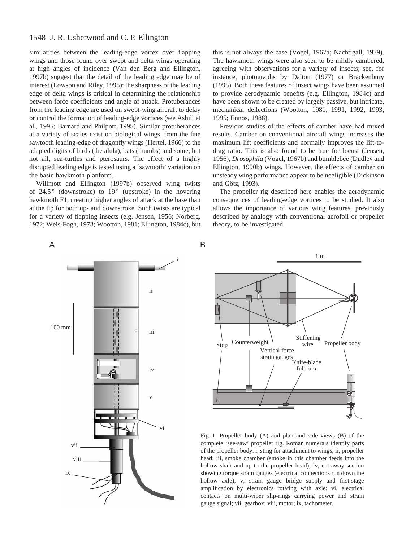similarities between the leading-edge vortex over flapping wings and those found over swept and delta wings operating at high angles of incidence (Van den Berg and Ellington, 1997b) suggest that the detail of the leading edge may be of interest (Lowson and Riley, 1995): the sharpness of the leading edge of delta wings is critical in determining the relationship between force coefficients and angle of attack. Protuberances from the leading edge are used on swept-wing aircraft to delay or control the formation of leading-edge vortices (see Ashill et al., 1995; Barnard and Philpott, 1995). Similar protuberances at a variety of scales exist on biological wings, from the fine sawtooth leading-edge of dragonfly wings (Hertel, 1966) to the adapted digits of birds (the alula), bats (thumbs) and some, but not all, sea-turtles and pterosaurs. The effect of a highly disrupted leading edge is tested using a 'sawtooth' variation on the basic hawkmoth planform.

Willmott and Ellington (1997b) observed wing twists of 24.5 $\degree$  (downstroke) to 19 $\degree$  (upstroke) in the hovering hawkmoth F1, creating higher angles of attack at the base than at the tip for both up- and downstroke. Such twists are typical for a variety of flapping insects (e.g. Jensen, 1956; Norberg, 1972; Weis-Fogh, 1973; Wootton, 1981; Ellington, 1984c), but

this is not always the case (Vogel, 1967a; Nachtigall, 1979). The hawkmoth wings were also seen to be mildly cambered, agreeing with observations for a variety of insects; see, for instance, photographs by Dalton (1977) or Brackenbury (1995). Both these features of insect wings have been assumed to provide aerodynamic benefits (e.g. Ellington, 1984c) and have been shown to be created by largely passive, but intricate, mechanical deflections (Wootton, 1981, 1991, 1992, 1993, 1995; Ennos, 1988).

Previous studies of the effects of camber have had mixed results. Camber on conventional aircraft wings increases the maximum lift coefficients and normally improves the lift-todrag ratio. This is also found to be true for locust (Jensen, 1956), *Drosophila* (Vogel, 1967b) and bumblebee (Dudley and Ellington, 1990b) wings. However, the effects of camber on unsteady wing performance appear to be negligible (Dickinson and Götz, 1993).

The propeller rig described here enables the aerodynamic consequences of leading-edge vortices to be studied. It also allows the importance of various wing features, previously described by analogy with conventional aerofoil or propeller theory, to be investigated.





Fig. 1. Propeller body (A) and plan and side views (B) of the complete 'see-saw' propeller rig. Roman numerals identify parts of the propeller body. i, sting for attachment to wings; ii, propeller head; iii, smoke chamber (smoke in this chamber feeds into the hollow shaft and up to the propeller head); iv, cut-away section showing torque strain gauges (electrical connections run down the hollow axle); v, strain gauge bridge supply and first-stage amplification by electronics rotating with axle; vi, electrical contacts on multi-wiper slip-rings carrying power and strain gauge signal; vii, gearbox; viii, motor; ix, tachometer.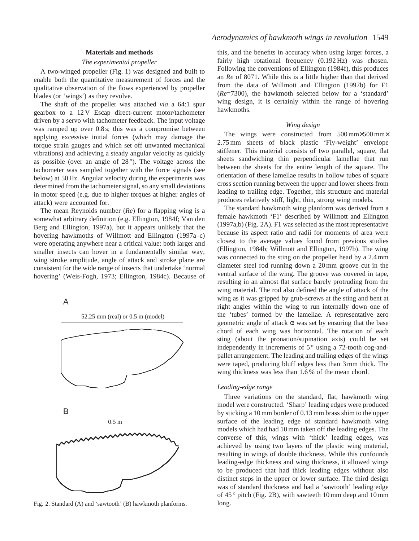#### **Materials and methods**

#### *The experimental propeller*

A two-winged propeller (Fig. 1) was designed and built to enable both the quantitative measurement of forces and the qualitative observation of the flows experienced by propeller blades (or 'wings') as they revolve.

The shaft of the propeller was attached *via* a 64:1 spur gearbox to a 12 V Escap direct-current motor/tachometer driven by a servo with tachometer feedback. The input voltage was ramped up over 0.8 s; this was a compromise between applying excessive initial forces (which may damage the torque strain gauges and which set off unwanted mechanical vibrations) and achieving a steady angular velocity as quickly as possible (over an angle of 28 °). The voltage across the tachometer was sampled together with the force signals (see below) at 50 Hz. Angular velocity during the experiments was determined from the tachometer signal, so any small deviations in motor speed (e.g. due to higher torques at higher angles of attack) were accounted for.

The mean Reynolds number (*Re*) for a flapping wing is a somewhat arbitrary definition (e.g. Ellington, 1984f; Van den Berg and Ellington, 1997a), but it appears unlikely that the hovering hawkmoths of Willmott and Ellington (1997a–c) were operating anywhere near a critical value: both larger and smaller insects can hover in a fundamentally similar way; wing stroke amplitude, angle of attack and stroke plane are consistent for the wide range of insects that undertake 'normal hovering' (Weis-Fogh, 1973; Ellington, 1984c). Because of



Fig. 2. Standard (A) and 'sawtooth' (B) hawkmoth planforms. long.

this, and the benefits in accuracy when using larger forces, a fairly high rotational frequency  $(0.192 \text{ Hz})$  was chosen. Following the conventions of Ellington (1984f), this produces an *Re* of 8071. While this is a little higher than that derived from the data of Willmott and Ellington (1997b) for F1 (*Re*=7300), the hawkmoth selected below for a 'standard' wing design, it is certainly within the range of hovering hawkmoths.

### *Wing design*

The wings were constructed from  $500 \text{ mm} \times 500 \text{ mm} \times$ 2.75 mm sheets of black plastic 'Fly-weight' envelope stiffener. This material consists of two parallel, square, flat sheets sandwiching thin perpendicular lamellae that run between the sheets for the entire length of the square. The orientation of these lamellae results in hollow tubes of square cross section running between the upper and lower sheets from leading to trailing edge. Together, this structure and material produces relatively stiff, light, thin, strong wing models.

The standard hawkmoth wing planform was derived from a female hawkmoth 'F1' described by Willmott and Ellington (1997a,b) (Fig. 2A). F1 was selected as the most representative because its aspect ratio and radii for moments of area were closest to the average values found from previous studies (Ellington, 1984b; Willmott and Ellington, 1997b). The wing was connected to the sting on the propeller head by a 2.4 mm diameter steel rod running down a 20 mm groove cut in the ventral surface of the wing. The groove was covered in tape, resulting in an almost flat surface barely protruding from the wing material. The rod also defined the angle of attack of the wing as it was gripped by grub-screws at the sting and bent at right angles within the wing to run internally down one of the 'tubes' formed by the lamellae. A representative zero geometric angle of attack  $\alpha$  was set by ensuring that the base chord of each wing was horizontal. The rotation of each sting (about the pronation/supination axis) could be set independently in increments of  $5^\circ$  using a 72-tooth cog-andpallet arrangement. The leading and trailing edges of the wings were taped, producing bluff edges less than 3 mm thick. The wing thickness was less than 1.6 % of the mean chord.

#### *Leading-edge range*

Three variations on the standard, flat, hawkmoth wing model were constructed. 'Sharp' leading edges were produced by sticking a 10 mm border of 0.13 mm brass shim to the upper surface of the leading edge of standard hawkmoth wing models which had had 10 mm taken off the leading edges. The converse of this, wings with 'thick' leading edges, was achieved by using two layers of the plastic wing material, resulting in wings of double thickness. While this confounds leading-edge thickness and wing thickness, it allowed wings to be produced that had thick leading edges without also distinct steps in the upper or lower surface. The third design was of standard thickness and had a 'sawtooth' leading edge of 45 ° pitch (Fig. 2B), with sawteeth 10 mm deep and 10 mm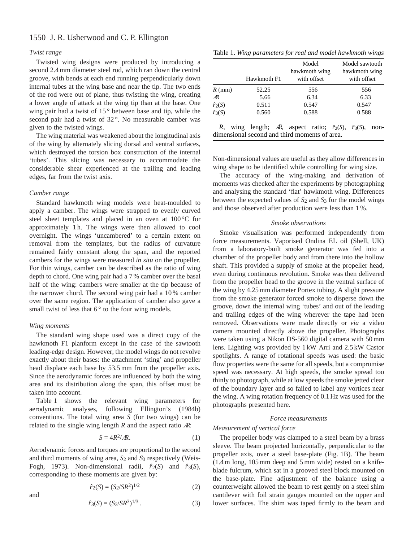### *Twist range*

Twisted wing designs were produced by introducing a second 2.4 mm diameter steel rod, which ran down the central groove, with bends at each end running perpendicularly down internal tubes at the wing base and near the tip. The two ends of the rod were out of plane, thus twisting the wing, creating a lower angle of attack at the wing tip than at the base. One wing pair had a twist of  $15^{\circ}$  between base and tip, while the second pair had a twist of 32°. No measurable camber was given to the twisted wings.

The wing material was weakened about the longitudinal axis of the wing by alternately slicing dorsal and ventral surfaces, which destroyed the torsion box construction of the internal 'tubes'. This slicing was necessary to accommodate the considerable shear experienced at the trailing and leading edges, far from the twist axis.

### *Camber range*

Standard hawkmoth wing models were heat-moulded to apply a camber. The wings were strapped to evenly curved steel sheet templates and placed in an oven at 100 °C for approximately 1 h. The wings were then allowed to cool overnight. The wings 'uncambered' to a certain extent on removal from the templates, but the radius of curvature remained fairly constant along the span, and the reported cambers for the wings were measured *in situ* on the propeller. For thin wings, camber can be described as the ratio of wing depth to chord. One wing pair had a 7 % camber over the basal half of the wing: cambers were smaller at the tip because of the narrower chord. The second wing pair had a 10 % camber over the same region. The application of camber also gave a small twist of less that  $6^{\circ}$  to the four wing models.

#### *Wing moments*

The standard wing shape used was a direct copy of the hawkmoth F1 planform except in the case of the sawtooth leading-edge design. However, the model wings do not revolve exactly about their bases: the attachment 'sting' and propeller head displace each base by 53.5 mm from the propeller axis. Since the aerodynamic forces are influenced by both the wing area and its distribution along the span, this offset must be taken into account.

Table 1 shows the relevant wing parameters for aerodynamic analyses, following Ellington's (1984b) conventions. The total wing area *S* (for two wings) can be related to the single wing length  $R$  and the aspect ratio  $AR$ :

$$
S = 4R^2/A\!R.
$$
 (1)

Aerodynamic forces and torques are proportional to the second and third moments of wing area, *S*2 and *S*3 respectively (Weis-Fogh, 1973). Non-dimensional radii,  $\hat{r}_2(S)$  and  $\hat{r}_3(S)$ , corresponding to these moments are given by:

$$
\hat{r}_2(S) = (S_2/SR^2)^{1/2} \tag{2}
$$

$$
\hat{r}_3(S) = (S_3/SR^3)^{1/3}.
$$
 (3)

|  | Table 1. Wing parameters for real and model hawkmoth wings |  |  |  |  |
|--|------------------------------------------------------------|--|--|--|--|
|  |                                                            |  |  |  |  |

|                          | Hawkmoth F1 | Model<br>hawkmoth wing<br>with offset | Model sawtooth<br>hawkmoth wing<br>with offset |
|--------------------------|-------------|---------------------------------------|------------------------------------------------|
| $R$ (mm)                 | 52.25       | 556                                   | 556                                            |
| Æ                        | 5.66        | 6.34                                  | 6.33                                           |
| $\hat{r}_2(S)$           | 0.511       | 0.547                                 | 0.547                                          |
| $\hat{r}_3(S)$           | 0.560       | 0.588                                 | 0.588                                          |
| $\overline{\phantom{a}}$ |             |                                       |                                                |

*R*, wing length; *A*, aspect ratio;  $\hat{r}_2(S)$ ,  $\hat{r}_3(S)$ , nondimensional second and third moments of area.

Non-dimensional values are useful as they allow differences in wing shape to be identified while controlling for wing size.

The accuracy of the wing-making and derivation of moments was checked after the experiments by photographing and analysing the standard 'flat' hawkmoth wing. Differences between the expected values of  $S_2$  and  $S_3$  for the model wings and those observed after production were less than 1 %.

#### *Smoke observations*

Smoke visualisation was performed independently from force measurements. Vaporised Ondina EL oil (Shell, UK) from a laboratory-built smoke generator was fed into a chamber of the propeller body and from there into the hollow shaft. This provided a supply of smoke at the propeller head, even during continuous revolution. Smoke was then delivered from the propeller head to the groove in the ventral surface of the wing by 4.25 mm diameter Portex tubing. A slight pressure from the smoke generator forced smoke to disperse down the groove, down the internal wing 'tubes' and out of the leading and trailing edges of the wing wherever the tape had been removed. Observations were made directly or *via* a video camera mounted directly above the propeller. Photographs were taken using a Nikon DS-560 digital camera with 50 mm lens. Lighting was provided by 1 kW Arri and 2.5 kW Castor spotlights. A range of rotational speeds was used: the basic flow properties were the same for all speeds, but a compromise speed was necessary. At high speeds, the smoke spread too thinly to photograph, while at low speeds the smoke jetted clear of the boundary layer and so failed to label any vortices near the wing. A wing rotation frequency of 0.1 Hz was used for the photographs presented here.

### *Force measurements*

### *Measurement of vertical force*

The propeller body was clamped to a steel beam by a brass sleeve. The beam projected horizontally, perpendicular to the propeller axis, over a steel base-plate (Fig. 1B). The beam (1.4 m long, 105 mm deep and 5 mm wide) rested on a knifeblade fulcrum, which sat in a grooved steel block mounted on the base-plate. Fine adjustment of the balance using a counterweight allowed the beam to rest gently on a steel shim cantilever with foil strain gauges mounted on the upper and lower surfaces. The shim was taped firmly to the beam and

and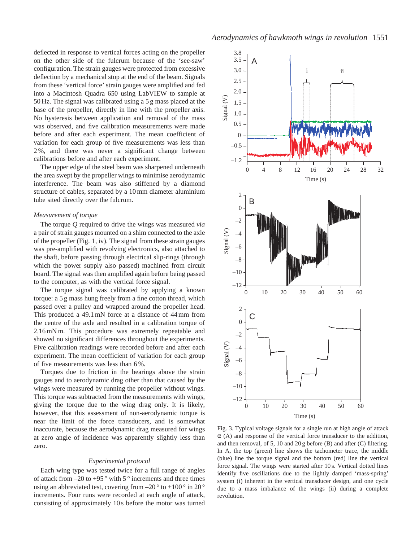deflected in response to vertical forces acting on the propeller on the other side of the fulcrum because of the 'see-saw' configuration. The strain gauges were protected from excessive deflection by a mechanical stop at the end of the beam. Signals from these 'vertical force' strain gauges were amplified and fed into a Macintosh Quadra 650 using LabVIEW to sample at 50 Hz. The signal was calibrated using a 5 g mass placed at the base of the propeller, directly in line with the propeller axis. No hysteresis between application and removal of the mass was observed, and five calibration measurements were made before and after each experiment. The mean coefficient of variation for each group of five measurements was less than 2 %, and there was never a significant change between calibrations before and after each experiment.

The upper edge of the steel beam was sharpened underneath the area swept by the propeller wings to minimise aerodynamic interference. The beam was also stiffened by a diamond structure of cables, separated by a 10 mm diameter aluminium tube sited directly over the fulcrum.

### *Measurement of torque*

The torque *Q* required to drive the wings was measured *via* a pair of strain gauges mounted on a shim connected to the axle of the propeller (Fig. 1, iv). The signal from these strain gauges was pre-amplified with revolving electronics, also attached to the shaft, before passing through electrical slip-rings (through which the power supply also passed) machined from circuit board. The signal was then amplified again before being passed to the computer, as with the vertical force signal.

The torque signal was calibrated by applying a known torque: a 5 g mass hung freely from a fine cotton thread, which passed over a pulley and wrapped around the propeller head. This produced a 49.1 mN force at a distance of 44 mm from the centre of the axle and resulted in a calibration torque of 2.16 mN m. This procedure was extremely repeatable and showed no significant differences throughout the experiments. Five calibration readings were recorded before and after each experiment. The mean coefficient of variation for each group of five measurements was less than 6 %.

Torques due to friction in the bearings above the strain gauges and to aerodynamic drag other than that caused by the wings were measured by running the propeller without wings. This torque was subtracted from the measurements with wings, giving the torque due to the wing drag only. It is likely, however, that this assessment of non-aerodynamic torque is near the limit of the force transducers, and is somewhat inaccurate, because the aerodynamic drag measured for wings at zero angle of incidence was apparently slightly less than zero.

#### *Experimental protocol*

Each wing type was tested twice for a full range of angles of attack from  $-20$  to  $+95^\circ$  with 5° increments and three times using an abbreviated test, covering from  $-20^\circ$  to  $+100^\circ$  in 20 $^\circ$ increments. Four runs were recorded at each angle of attack, consisting of approximately 10 s before the motor was turned



Fig. 3. Typical voltage signals for a single run at high angle of attack  $\alpha$  (A) and response of the vertical force transducer to the addition, and then removal, of 5, 10 and 20 g before (B) and after (C) filtering. In A, the top (green) line shows the tachometer trace, the middle (blue) line the torque signal and the bottom (red) line the vertical force signal. The wings were started after 10 s. Vertical dotted lines identify five oscillations due to the lightly damped 'mass-spring' system (i) inherent in the vertical transducer design, and one cycle due to a mass imbalance of the wings (ii) during a complete revolution.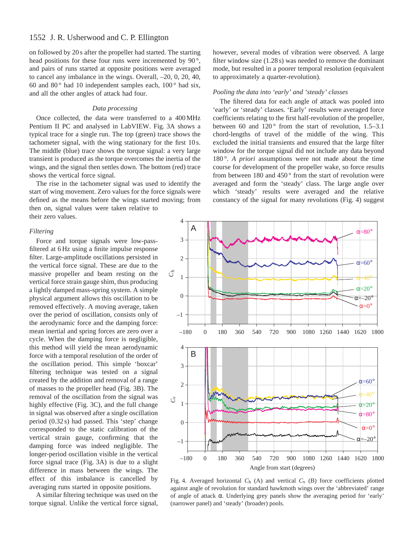on followed by 20 s after the propeller had started. The starting head positions for these four runs were incremented by  $90^{\circ}$ , and pairs of runs started at opposite positions were averaged to cancel any imbalance in the wings. Overall, –20, 0, 20, 40, 60 and 80 $^{\circ}$  had 10 independent samples each, 100 $^{\circ}$  had six, and all the other angles of attack had four.

### *Data processing*

Once collected, the data were transferred to a 400 MHz Pentium II PC and analysed in LabVIEW. Fig. 3A shows a typical trace for a single run. The top (green) trace shows the tachometer signal, with the wing stationary for the first 10 s. The middle (blue) trace shows the torque signal: a very large transient is produced as the torque overcomes the inertia of the wings, and the signal then settles down. The bottom (red) trace shows the vertical force signal.

The rise in the tachometer signal was used to identify the start of wing movement. Zero values for the force signals were defined as the means before the wings started moving; from then on, signal values were taken relative to

their zero values.

### *Filtering*

Force and torque signals were low-passfiltered at 6 Hz using a finite impulse response filter. Large-amplitude oscillations persisted in the vertical force signal. These are due to the massive propeller and beam resting on the vertical force strain gauge shim, thus producing a lightly damped mass-spring system. A simple physical argument allows this oscillation to be removed effectively. A moving average, taken over the period of oscillation, consists only of the aerodynamic force and the damping force: mean inertial and spring forces are zero over a cycle. When the damping force is negligible, this method will yield the mean aerodynamic force with a temporal resolution of the order of the oscillation period. This simple 'boxcar' filtering technique was tested on a signal created by the addition and removal of a range of masses to the propeller head (Fig. 3B). The removal of the oscillation from the signal was highly effective (Fig. 3C), and the full change in signal was observed after a single oscillation period (0.32 s) had passed. This 'step' change corresponded to the static calibration of the vertical strain gauge, confirming that the damping force was indeed negligible. The longer-period oscillation visible in the vertical force signal trace (Fig. 3A) is due to a slight difference in mass between the wings. The effect of this imbalance is cancelled by averaging runs started in opposite positions.

A similar filtering technique was used on the torque signal. Unlike the vertical force signal, however, several modes of vibration were observed. A large filter window size (1.28 s) was needed to remove the dominant mode, but resulted in a poorer temporal resolution (equivalent to approximately a quarter-revolution).

### *Pooling the data into 'early' and 'steady' classes*

The filtered data for each angle of attack was pooled into 'early' or 'steady' classes. 'Early' results were averaged force coefficients relating to the first half-revolution of the propeller, between 60 and  $120^{\circ}$  from the start of revolution, 1.5–3.1 chord-lengths of travel of the middle of the wing. This excluded the initial transients and ensured that the large filter window for the torque signal did not include any data beyond 180 °. *A priori* assumptions were not made about the time course for development of the propeller wake, so force results from between 180 and 450 $\degree$  from the start of revolution were averaged and form the 'steady' class. The large angle over which 'steady' results were averaged and the relative constancy of the signal for many revolutions (Fig. 4) suggest



Fig. 4. Averaged horizontal *C*h (A) and vertical *C*v (B) force coefficients plotted against angle of revolution for standard hawkmoth wings over the 'abbreviated' range of angle of attack α. Underlying grey panels show the averaging period for 'early' (narrower panel) and 'steady' (broader) pools.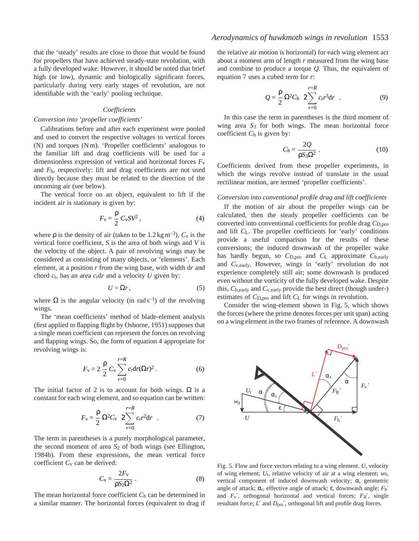that the 'steady' results are close to those that would be found for propellers that have achieved steady-state revolution, with a fully developed wake. However, it should be noted that brief high (or low), dynamic and biologically significant forces, particularly during very early stages of revolution, are not identifiable with the 'early' pooling technique.

### *Coefficients*

### *Conversion into 'propeller coefficients'*

Calibrations before and after each experiment were pooled and used to convert the respective voltages to vertical forces (N) and torques (N m). 'Propeller coefficients' analogous to the familiar lift and drag coefficients will be used for a dimensionless expression of vertical and horizontal forces *F*v and *F*h, respectively: lift and drag coefficients are not used directly because they must be related to the direction of the oncoming air (see below).

The vertical force on an object, equivalent to lift if the incident air is stationary is given by:

$$
F_{\rm v} = \frac{\rho}{2} \, C_{\rm v} S V^2 \,, \tag{4}
$$

where  $\rho$  is the density of air (taken to be  $1.2 \text{ kg m}^{-3}$ ),  $C_v$  is the vertical force coefficient, *S* is the area of both wings and *V* is the velocity of the object. A pair of revolving wings may be considered as consisting of many objects, or 'elements'. Each element, at a position *r* from the wing base, with width d*r* and chord  $c_r$ , has an area  $c_r dr$  and a velocity  $U$  given by:

$$
U = \Omega r, \tag{5}
$$

where  $\Omega$  is the angular velocity (in rad s<sup>-1</sup>) of the revolving wings.

The 'mean coefficients' method of blade-element analysis (first applied to flapping flight by Osborne, 1951) supposes that a single mean coefficient can represent the forces on revolving and flapping wings. So, the form of equation 4 appropriate for revolving wings is:

$$
F_{\rm v} = 2 \frac{\rho}{2} C_{\rm v} \sum_{r=0}^{r=R} c_{\rm r} dr (\Omega r)^2.
$$
 (6)

The initial factor of 2 is to account for both wings.  $\Omega$  is a constant for each wing element, and so equation can be written:

$$
F_{\rm v} = \frac{\rho}{2} \,\Omega^2 C_{\rm v} \left( 2 \sum_{r=0}^{r=R} c_{\rm r} r^2 \mathrm{d}r \right). \tag{7}
$$

The term in parentheses is a purely morphological parameter, the second moment of area *S*2 of both wings (see Ellington, 1984b). From these expressions, the mean vertical force coefficient *C*v can be derived:

$$
C_{\rm v} = \frac{2F_{\rm v}}{\rho S_2 \Omega^2} \ . \tag{8}
$$

The mean horizontal force coefficient *C*h can be determined in a similar manner. The horizontal forces (equivalent to drag if the relative air motion is horizontal) for each wing element act about a moment arm of length *r* measured from the wing base and combine to produce a torque *Q*. Thus, the equivalent of equation 7 uses a cubed term for *r*:

$$
Q = \frac{\rho}{2} \Omega^2 C_{\rm h} \left( 2 \sum_{r=0}^{r=R} c_{\rm r} r^3 \mathrm{d}r \right). \tag{9}
$$

In this case the term in parentheses is the third moment of wing area *S*3 for both wings. The mean horizontal force coefficient *C*h is given by:

$$
C_{\rm h} = \frac{2Q}{\rho S_3 \Omega^2} \,. \tag{10}
$$

Coefficients derived from these propeller experiments, in which the wings revolve instead of translate in the usual rectilinear motion, are termed 'propeller coefficients'.

#### *Conversion into conventional profile drag and lift coefficients*

If the motion of air about the propeller wings can be calculated, then the steady propeller coefficients can be converted into conventional coefficients for profile drag  $C_{\text{D,pro}}$ and lift *C*L. The propeller coefficients for 'early' conditions provide a useful comparison for the results of these conversions; the induced downwash of the propeller wake has hardly begun, so C<sub>D,pro</sub> and C<sub>L</sub> approximate C<sub>h,early</sub> and *C*v,early. However, wings in 'early' revolution do not experience completely still air; some downwash is produced even without the vorticity of the fully developed wake. Despite this, *C*h,early and *C*v,early provide the best direct (though under-) estimates of *C*<sub>D,pro</sub> and lift *C*<sub>L</sub> for wings in revolution.

Consider the wing-element shown in Fig. 5, which shows the forces (where the prime denotes forces per unit span) acting on a wing element in the two frames of reference. A downwash



Fig. 5. Flow and force vectors relating to a wing element. *U*, velocity of wing element; *U*r, relative velocity of air at a wing element; *w*0, vertical component of induced downwash velocity; α, geometric angle of attack;  $\alpha_r$ , effective angle of attack;  $\varepsilon$ , downwash angle;  $F_h'$ and *F*v′, orthogonal horizontal and vertical forces; *F*R′, single resultant force; *L'* and  $D_{\text{pro}}'$ , orthogonal lift and profile drag forces.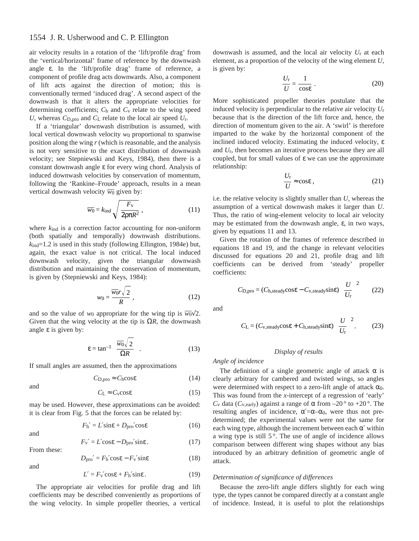air velocity results in a rotation of the 'lift/profile drag' from the 'vertical/horizontal' frame of reference by the downwash angle ε. In the 'lift/profile drag' frame of reference, a component of profile drag acts downwards. Also, a component of lift acts against the direction of motion; this is conventionally termed 'induced drag'. A second aspect of the downwash is that it alters the appropriate velocities for determining coefficients; *C*h and *C*v relate to the wing speed *U*, whereas  $C_{D, pro}$  and  $C_L$  relate to the local air speed  $U_T$ .

If a 'triangular' downwash distribution is assumed, with local vertical downwash velocity  $w_0$  proportional to spanwise position along the wing *r* (which is reasonable, and the analysis is not very sensitive to the exact distribution of downwash velocity; see Stepniewski and Keys, 1984), then there is a constant downwash angle ε for every wing chord. Analysis of induced downwash velocities by conservation of momentum, following the 'Rankine–Froude' approach, results in a mean vertical downwash velocity  $\overline{w_0}$  given by:

$$
\overline{w_0} = k_{\text{ind}} \sqrt{\frac{F_v}{2\rho \pi R^2}} \,, \tag{11}
$$

where *k*ind is a correction factor accounting for non-uniform (both spatially and temporally) downwash distributions. *k*ind=1.2 is used in this study (following Ellington, 1984e) but, again, the exact value is not critical. The local induced downwash velocity, given the triangular downwash distribution and maintaining the conservation of momentum, is given by (Stepniewski and Keys, 1984):

$$
w_0 = \frac{\overline{w_0}r\sqrt{2}}{R},
$$
 (12)

and so the value of  $w_0$  appropriate for the wing tip is  $\overline{w_0}$ <sup> $\sqrt{2}$ </sup>. Given that the wing velocity at the tip is  $\Omega R$ , the downwash angle ε is given by:

$$
\varepsilon = \tan^{-1} \left( \frac{\overline{w_0} \sqrt{2}}{\Omega R} \right). \tag{13}
$$

If small angles are assumed, then the approximations

$$
C_{\text{D,pro}} \approx C_{\text{h}} \cos \varepsilon \tag{14}
$$

and

and

and

From these:

$$
C_{\rm L} \approx C_{\rm v} \cos \epsilon \tag{15}
$$

may be used. However, these approximations can be avoided: it is clear from Fig. 5 that the forces can be related by:

$$
F_{\rm h}^{\prime} = L^{\prime} \sin \varepsilon + D_{\rm pro}^{\prime} \cos \varepsilon \tag{16}
$$

$$
F_v' = L' \cos \varepsilon - D_{\text{pro}}' \sin \varepsilon. \tag{17}
$$

$$
D_{\rm pro'} = F_{\rm h}^{\prime} \cos \varepsilon - F_{\rm v}^{\prime} \sin \varepsilon \tag{18}
$$

$$
L' = F_v' \cos \varepsilon + F_h' \sin \varepsilon. \tag{19}
$$

The appropriate air velocities for profile drag and lift coefficients may be described conveniently as proportions of the wing velocity. In simple propeller theories, a vertical

downwash is assumed, and the local air velocity *U*r at each element, as a proportion of the velocity of the wing element *U*, is given by:

$$
\frac{U_{\rm r}}{U} = \frac{1}{\cos \varepsilon} \ . \tag{20}
$$

More sophisticated propeller theories postulate that the induced velocity is perpendicular to the relative air velocity *U*r because that is the direction of the lift force and, hence, the direction of momentum given to the air. A 'swirl' is therefore imparted to the wake by the horizontal component of the inclined induced velocity. Estimating the induced velocity,  $\varepsilon$ and *U*r, then becomes an iterative process because they are all coupled, but for small values of ε we can use the approximate relationship:

$$
\frac{U_{\rm r}}{U} \approx \cos \epsilon \,,\tag{21}
$$

i.e. the relative velocity is slightly smaller than *U*, whereas the assumption of a vertical downwash makes it larger than *U*. Thus, the ratio of wing-element velocity to local air velocity may be estimated from the downwash angle, ε, in two ways, given by equations 11 and 13.

Given the rotation of the frames of reference described in equations 18 and 19, and the change in relevant velocities discussed for equations 20 and 21, profile drag and lift coefficients can be derived from 'steady' propeller coefficients:

$$
C_{\text{D,pro}} = (C_{\text{h,steady}} \cos \varepsilon - C_{\text{v,steady}} \sin \varepsilon) \left(\frac{U}{U_{\text{r}}}\right)^2 \tag{22}
$$

and

$$
C_{\rm L} = (C_{\rm v, steady} \cos \varepsilon + C_{\rm h, steady} \sin \varepsilon) \left(\frac{U}{U_{\rm r}}\right)^2. \tag{23}
$$

### *Display of results*

### *Angle of incidence*

The definition of a single geometric angle of attack  $\alpha$  is clearly arbitrary for cambered and twisted wings, so angles were determined with respect to a zero-lift angle of attack  $\alpha_0$ . This was found from the *x*-intercept of a regression of 'early' *C*<sub>v</sub> data (*C*<sub>v,early</sub>) against a range of α from –20<sup>°</sup> to +20<sup>°</sup>. The resulting angles of incidence,  $\alpha' = \alpha - \alpha_0$ , were thus not predetermined; the experimental values were not the same for each wing type, although the increment between each  $\alpha'$  within a wing type is still  $5^\circ$ . The use of angle of incidence allows comparison between different wing shapes without any bias introduced by an arbitrary definition of geometric angle of attack.

### *Determination of significance of differences*

Because the zero-lift angle differs slightly for each wing type, the types cannot be compared directly at a constant angle of incidence. Instead, it is useful to plot the relationships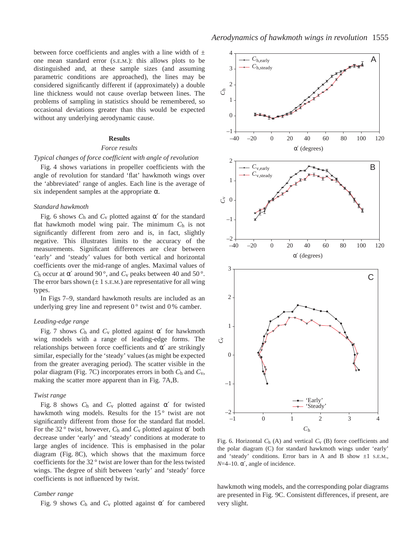between force coefficients and angles with a line width of  $\pm$ one mean standard error (S.E.M.): this allows plots to be distinguished and, at these sample sizes (and assuming parametric conditions are approached), the lines may be considered significantly different if (approximately) a double line thickness would not cause overlap between lines. The problems of sampling in statistics should be remembered, so occasional deviations greater than this would be expected without any underlying aerodynamic cause.

### **Results**

### *Force results*

## *Typical changes of force coefficient with angle of revolution*

Fig. 4 shows variations in propeller coefficients with the angle of revolution for standard 'flat' hawkmoth wings over the 'abbreviated' range of angles. Each line is the average of six independent samples at the appropriate  $α$ .

#### *Standard hawkmoth*

Fig. 6 shows  $C_h$  and  $C_v$  plotted against  $\alpha'$  for the standard flat hawkmoth model wing pair. The minimum *C*h is not significantly different from zero and is, in fact, slightly negative. This illustrates limits to the accuracy of the measurements. Significant differences are clear between 'early' and 'steady' values for both vertical and horizontal coefficients over the mid-range of angles. Maximal values of  $C_h$  occur at  $\alpha'$  around 90 $\degree$ , and  $C_v$  peaks between 40 and 50 $\degree$ . The error bars shown  $(\pm 1 \text{ s.E.M.})$  are representative for all wing types.

In Figs 7–9, standard hawkmoth results are included as an underlying grey line and represent  $0^{\circ}$  twist and 0% camber.

#### *Leading-edge range*

Fig. 7 shows  $C_h$  and  $C_v$  plotted against  $\alpha'$  for hawkmoth wing models with a range of leading-edge forms. The relationships between force coefficients and  $\alpha'$  are strikingly similar, especially for the 'steady' values (as might be expected from the greater averaging period). The scatter visible in the polar diagram (Fig. 7C) incorporates errors in both *C*h and *C*v, making the scatter more apparent than in Fig. 7A,B.

### *Twist range*

Fig. 8 shows  $C_h$  and  $C_v$  plotted against  $\alpha'$  for twisted hawkmoth wing models. Results for the  $15<sup>°</sup>$  twist are not significantly different from those for the standard flat model. For the 32 $\degree$  twist, however,  $C_h$  and  $C_v$  plotted against  $\alpha'$  both decrease under 'early' and 'steady' conditions at moderate to large angles of incidence. This is emphasised in the polar diagram (Fig. 8C), which shows that the maximum force coefficients for the 32 ° twist are lower than for the less twisted wings. The degree of shift between 'early' and 'steady' force coefficients is not influenced by twist.

### *Camber range*

Fig. 9 shows  $C_h$  and  $C_v$  plotted against  $\alpha'$  for cambered



Fig. 6. Horizontal *C*h (A) and vertical *C*v (B) force coefficients and the polar diagram (C) for standard hawkmoth wings under 'early' and 'steady' conditions. Error bars in A and B show  $\pm 1$  s.e.m.,  $N=4-10$ .  $\alpha'$ , angle of incidence.

hawkmoth wing models, and the corresponding polar diagrams are presented in Fig. 9C. Consistent differences, if present, are very slight.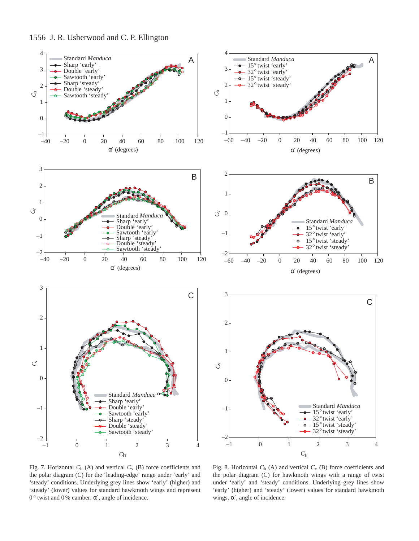

Fig. 7. Horizontal *C*h (A) and vertical *C*v (B) force coefficients and the polar diagram (C) for the 'leading-edge' range under 'early' and 'steady' conditions. Underlying grey lines show 'early' (higher) and 'steady' (lower) values for standard hawkmoth wings and represent 0 $\degree$  twist and 0% camber.  $\alpha'$ , angle of incidence.

Fig. 8. Horizontal *C*h (A) and vertical *C*v (B) force coefficients and the polar diagram (C) for hawkmoth wings with a range of twist under 'early' and 'steady' conditions. Underlying grey lines show 'early' (higher) and 'steady' (lower) values for standard hawkmoth wings.  $\alpha'$ , angle of incidence.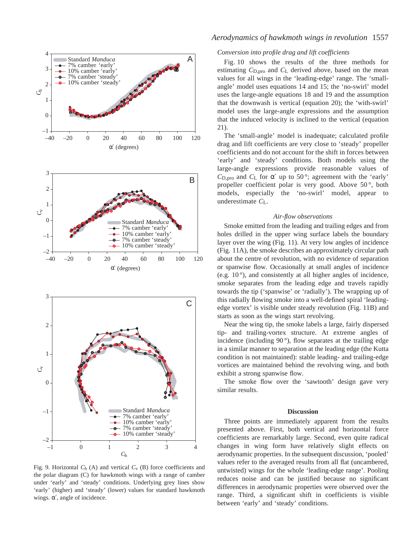

Fig. 9. Horizontal *C*h (A) and vertical *C*v (B) force coefficients and the polar diagram (C) for hawkmoth wings with a range of camber under 'early' and 'steady' conditions. Underlying grey lines show 'early' (higher) and 'steady' (lower) values for standard hawkmoth wings.  $\alpha'$ , angle of incidence.

## *Aerodynamics of hawkmoth wings in revolution* 1557

### *Conversion into profile drag and lift coefficients*

Fig. 10 shows the results of the three methods for estimating *C*D,pro and *C*L derived above, based on the mean values for all wings in the 'leading-edge' range. The 'smallangle' model uses equations 14 and 15; the 'no-swirl' model uses the large-angle equations 18 and 19 and the assumption that the downwash is vertical (equation 20); the 'with-swirl' model uses the large-angle expressions and the assumption that the induced velocity is inclined to the vertical (equation 21).

The 'small-angle' model is inadequate; calculated profile drag and lift coefficients are very close to 'steady' propeller coefficients and do not account for the shift in forces between 'early' and 'steady' conditions. Both models using the large-angle expressions provide reasonable values of  $C_{D, pro}$  and  $C_L$  for  $\alpha'$  up to 50°; agreement with the 'early' propeller coefficient polar is very good. Above 50 $^{\circ}$ , both models, especially the 'no-swirl' model, appear to underestimate *C*L.

#### *Air-flow observations*

Smoke emitted from the leading and trailing edges and from holes drilled in the upper wing surface labels the boundary layer over the wing (Fig. 11). At very low angles of incidence (Fig. 11A), the smoke describes an approximately circular path about the centre of revolution, with no evidence of separation or spanwise flow. Occasionally at small angles of incidence (e.g.  $10^{\circ}$ ), and consistently at all higher angles of incidence, smoke separates from the leading edge and travels rapidly towards the tip ('spanwise' or 'radially'). The wrapping up of this radially flowing smoke into a well-defined spiral 'leadingedge vortex' is visible under steady revolution (Fig. 11B) and starts as soon as the wings start revolving.

Near the wing tip, the smoke labels a large, fairly dispersed tip- and trailing-vortex structure. At extreme angles of incidence (including  $90^{\circ}$ ), flow separates at the trailing edge in a similar manner to separation at the leading edge (the Kutta condition is not maintained): stable leading- and trailing-edge vortices are maintained behind the revolving wing, and both exhibit a strong spanwise flow.

The smoke flow over the 'sawtooth' design gave very similar results.

#### **Discussion**

Three points are immediately apparent from the results presented above. First, both vertical and horizontal force coefficients are remarkably large. Second, even quite radical changes in wing form have relatively slight effects on aerodynamic properties. In the subsequent discussion, 'pooled' values refer to the averaged results from all flat (uncambered, untwisted) wings for the whole 'leading-edge range'. Pooling reduces noise and can be justified because no significant differences in aerodynamic properties were observed over the range. Third, a significant shift in coefficients is visible between 'early' and 'steady' conditions.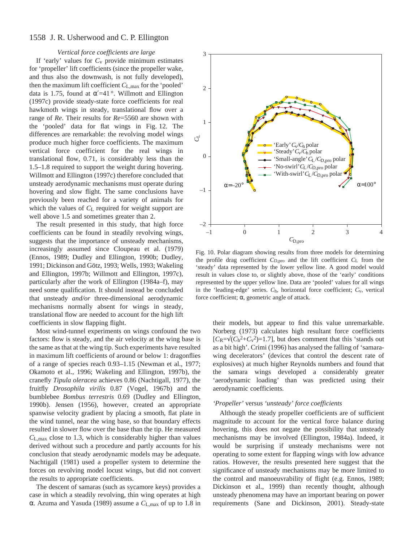### *Vertical force coefficients are large*

If 'early' values for  $C_v$  provide minimum estimates for 'propeller' lift coefficients (since the propeller wake, and thus also the downwash, is not fully developed), then the maximum lift coefficient *C*L,max for the 'pooled' data is 1.75, found at  $\alpha' = 41^{\circ}$ . Willmott and Ellington (1997c) provide steady-state force coefficients for real hawkmoth wings in steady, translational flow over a range of *Re*. Their results for *Re*=5560 are shown with the 'pooled' data for flat wings in Fig. 12. The differences are remarkable: the revolving model wings produce much higher force coefficients. The maximum vertical force coefficient for the real wings in translational flow, 0.71, is considerably less than the 1.5–1.8 required to support the weight during hovering. Willmott and Ellington (1997c) therefore concluded that unsteady aerodynamic mechanisms must operate during hovering and slow flight. The same conclusions have previously been reached for a variety of animals for which the values of  $C<sub>L</sub>$  required for weight support are well above 1.5 and sometimes greater than 2.

The result presented in this study, that high force coefficients can be found in steadily revolving wings, suggests that the importance of unsteady mechanisms, increasingly assumed since Cloupeau et al. (1979) (Ennos, 1989; Dudley and Ellington, 1990b; Dudley, 1991; Dickinson and Götz, 1993; Wells, 1993; Wakeling and Ellington, 1997b; Willmott and Ellington, 1997c), particularly after the work of Ellington (1984a–f), may need some qualification. It should instead be concluded that unsteady *and/or* three-dimensional aerodynamic mechanisms normally absent for wings in steady, translational flow are needed to account for the high lift coefficients in slow flapping flight.

Most wind-tunnel experiments on wings confound the two factors: flow is steady, and the air velocity at the wing base is the same as that at the wing tip. Such experiments have resulted in maximum lift coefficients of around or below 1: dragonflies of a range of species reach 0.93–1.15 (Newman et al., 1977; Okamoto et al., 1996; Wakeling and Ellington, 1997b), the cranefly *Tipula oleracea* achieves 0.86 (Nachtigall, 1977), the fruitfly *Drosophila virilis* 0.87 (Vogel, 1967b) and the bumblebee *Bombus terrestris* 0.69 (Dudley and Ellington, 1990b). Jensen (1956), however, created an appropriate spanwise velocity gradient by placing a smooth, flat plate in the wind tunnel, near the wing base, so that boundary effects resulted in slower flow over the base than the tip. He measured *C*L,max close to 1.3, which is considerably higher than values derived without such a procedure and partly accounts for his conclusion that steady aerodynamic models may be adequate. Nachtigall (1981) used a propeller system to determine the forces on revolving model locust wings, but did not convert the results to appropriate coefficients.

The descent of samaras (such as sycamore keys) provides a case in which a steadily revolving, thin wing operates at high α. Azuma and Yasuda (1989) assume a *C*L,max of up to 1.8 in



Fig. 10. Polar diagram showing results from three models for determining the profile drag coefficient  $C_{D, pro}$  and the lift coefficient  $C_L$  from the 'steady' data represented by the lower yellow line. A good model would result in values close to, or slightly above, those of the 'early' conditions represented by the upper yellow line. Data are 'pooled' values for all wings in the 'leading-edge' series. *C*h, horizontal force coefficient; *C*v, vertical force coefficient; α, geometric angle of attack.

their models, but appear to find this value unremarkable. Norberg (1973) calculates high resultant force coefficients  $[C_{\rm R}=\sqrt{(C_{\rm h}^2+C_{\rm v}^2})=1.7]$ , but does comment that this 'stands out as a bit high'. Crimi (1996) has analysed the falling of 'samarawing decelerators' (devices that control the descent rate of explosives) at much higher Reynolds numbers and found that the samara wings developed a considerably greater 'aerodynamic loading' than was predicted using their aerodynamic coefficients.

#### *'Propeller'* versus *'unsteady' force coefficients*

Although the steady propeller coefficients are of sufficient magnitude to account for the vertical force balance during hovering, this does not negate the possibility that unsteady mechanisms may be involved (Ellington, 1984a). Indeed, it would be surprising if unsteady mechanisms were not operating to some extent for flapping wings with low advance ratios. However, the results presented here suggest that the significance of unsteady mechanisms may be more limited to the control and manoeuvrability of flight (e.g. Ennos, 1989; Dickinson et al., 1999) than recently thought, although unsteady phenomena may have an important bearing on power requirements (Sane and Dickinson, 2001). Steady-state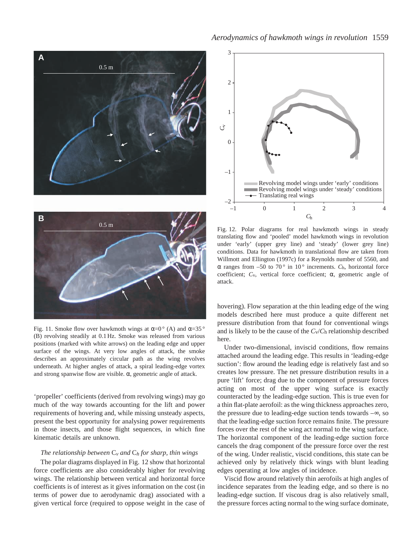



Fig. 11. Smoke flow over hawkmoth wings at  $\alpha=0^{\circ}$  (A) and  $\alpha=35^{\circ}$ (B) revolving steadily at 0.1 Hz. Smoke was released from various positions (marked with white arrows) on the leading edge and upper surface of the wings. At very low angles of attack, the smoke describes an approximately circular path as the wing revolves underneath. At higher angles of attack, a spiral leading-edge vortex and strong spanwise flow are visible.  $\alpha$ , geometric angle of attack.

'propeller' coefficients (derived from revolving wings) may go much of the way towards accounting for the lift and power requirements of hovering and, while missing unsteady aspects, present the best opportunity for analysing power requirements in those insects, and those flight sequences, in which fine kinematic details are unknown.

### *The relationship between* C*v and* C*h for sharp, thin wings*

The polar diagrams displayed in Fig. 12 show that horizontal force coefficients are also considerably higher for revolving wings. The relationship between vertical and horizontal force coefficients is of interest as it gives information on the cost (in terms of power due to aerodynamic drag) associated with a given vertical force (required to oppose weight in the case of



Fig. 12. Polar diagrams for real hawkmoth wings in steady translating flow and 'pooled' model hawkmoth wings in revolution under 'early' (upper grey line) and 'steady' (lower grey line) conditions. Data for hawkmoth in translational flow are taken from Willmott and Ellington (1997c) for a Reynolds number of 5560, and α ranges from  $-50$  to  $70°$  in  $10°$  increments.  $C<sub>h</sub>$ , horizontal force coefficient; *C*v, vertical force coefficient; α, geometric angle of attack.

hovering). Flow separation at the thin leading edge of the wing models described here must produce a quite different net pressure distribution from that found for conventional wings and is likely to be the cause of the  $C_V/C_h$  relationship described here.

Under two-dimensional, inviscid conditions, flow remains attached around the leading edge. This results in 'leading-edge suction': flow around the leading edge is relatively fast and so creates low pressure. The net pressure distribution results in a pure 'lift' force; drag due to the component of pressure forces acting on most of the upper wing surface is exactly counteracted by the leading-edge suction. This is true even for a thin flat-plate aerofoil: as the wing thickness approaches zero, the pressure due to leading-edge suction tends towards –∞, so that the leading-edge suction force remains finite. The pressure forces over the rest of the wing act normal to the wing surface. The horizontal component of the leading-edge suction force cancels the drag component of the pressure force over the rest of the wing. Under realistic, viscid conditions, this state can be achieved only by relatively thick wings with blunt leading edges operating at low angles of incidence.

Viscid flow around relatively thin aerofoils at high angles of incidence separates from the leading edge, and so there is no leading-edge suction. If viscous drag is also relatively small, the pressure forces acting normal to the wing surface dominate,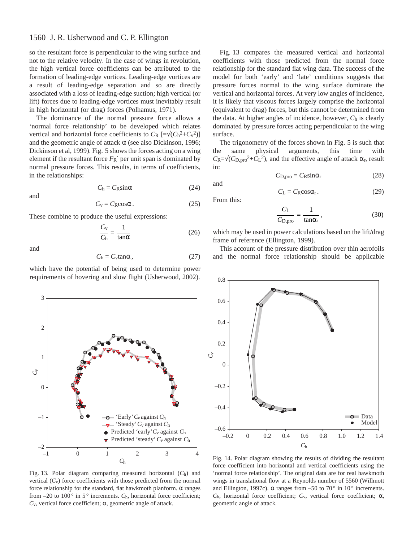so the resultant force is perpendicular to the wing surface and not to the relative velocity. In the case of wings in revolution, the high vertical force coefficients can be attributed to the formation of leading-edge vortices. Leading-edge vortices are a result of leading-edge separation and so are directly associated with a loss of leading-edge suction; high vertical (or lift) forces due to leading-edge vortices must inevitably result in high horizontal (or drag) forces (Polhamus, 1971).

The dominance of the normal pressure force allows a 'normal force relationship' to be developed which relates vertical and horizontal force coefficients to  $C_R$  [= $\sqrt{(C_h^2 + C_v^2)}$ ] and the geometric angle of attack  $\alpha$  (see also Dickinson, 1996; Dickinson et al, 1999). Fig. 5 shows the forces acting on a wing element if the resultant force  $F_{R}$ <sup> $\prime$ </sup> per unit span is dominated by normal pressure forces. This results, in terms of coefficients, in the relationships:

$$
C_{\rm h} = C_{\rm R} \sin \alpha \tag{24}
$$

$$
C_{\rm v} = C_{\rm R} \cos \alpha. \tag{25}
$$

These combine to produce the useful expressions:

$$
\frac{C_{\rm v}}{C_{\rm h}} = \frac{1}{\tan \alpha} \tag{26}
$$

$$
C_{\rm h} = C_{\rm v} \tan \alpha \,, \tag{27}
$$

which have the potential of being used to determine power requirements of hovering and slow flight (Usherwood, 2002).



Fig. 13. Polar diagram comparing measured horizontal (*C*h) and vertical  $(C_v)$  force coefficients with those predicted from the normal force relationship for the standard, flat hawkmoth planform. α ranges from  $-20$  to  $100^\circ$  in 5° increments.  $C_h$ , horizontal force coefficient;  $C_v$ , vertical force coefficient;  $\alpha$ , geometric angle of attack.

Fig. 13 compares the measured vertical and horizontal coefficients with those predicted from the normal force relationship for the standard flat wing data. The success of the model for both 'early' and 'late' conditions suggests that pressure forces normal to the wing surface dominate the vertical and horizontal forces. At very low angles of incidence, it is likely that viscous forces largely comprise the horizontal (equivalent to drag) forces, but this cannot be determined from the data. At higher angles of incidence, however, *C*h is clearly dominated by pressure forces acting perpendicular to the wing surface.

The trigonometry of the forces shown in Fig. 5 is such that the same physical arguments, this time with  $C_R = \sqrt{(C_{D, pro}^2 + C_L^2)}$ , and the effective angle of attack  $\alpha_r$ , result in:

$$
C_{\text{D,pro}} = C_{\text{R}} \sin \alpha_{\text{r}} \tag{28}
$$

and

From this:

$$
C_{\rm L} = C_{\rm R} \cos \alpha_{\rm r} \,. \tag{29}
$$

$$
\frac{C_{\rm L}}{C_{\rm D,pro}} = \frac{1}{\tan \alpha_{\rm r}},
$$
\n(30)

which may be used in power calculations based on the lift/drag frame of reference (Ellington, 1999).

This account of the pressure distribution over thin aerofoils and the normal force relationship should be applicable



Fig. 14. Polar diagram showing the results of dividing the resultant force coefficient into horizontal and vertical coefficients using the 'normal force relationship'. The original data are for real hawkmoth wings in translational flow at a Reynolds number of 5560 (Willmott and Ellington, 1997c).  $\alpha$  ranges from –50 to 70 $\degree$  in 10 $\degree$  increments. *C*h, horizontal force coefficient; *C*v, vertical force coefficient; α, geometric angle of attack.

and

and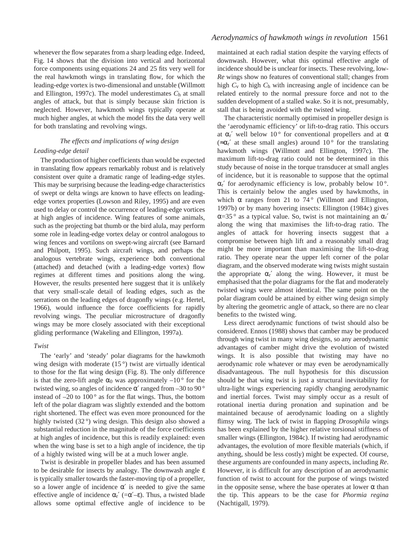whenever the flow separates from a sharp leading edge. Indeed, Fig. 14 shows that the division into vertical and horizontal force components using equations 24 and 25 fits very well for the real hawkmoth wings in translating flow, for which the leading-edge vortex is two-dimensional and unstable (Willmott and Ellington, 1997c). The model underestimates *C*h at small angles of attack, but that is simply because skin friction is neglected. However, hawkmoth wings typically operate at much higher angles, at which the model fits the data very well for both translating and revolving wings.

## *The effects and implications of wing design Leading-edge detail*

The production of higher coefficients than would be expected in translating flow appears remarkably robust and is relatively consistent over quite a dramatic range of leading-edge styles. This may be surprising because the leading-edge characteristics of swept or delta wings are known to have effects on leadingedge vortex properties (Lowson and Riley, 1995) and are even used to delay or control the occurrence of leading-edge vortices at high angles of incidence. Wing features of some animals, such as the projecting bat thumb or the bird alula, may perform some role in leading-edge vortex delay or control analogous to wing fences and vortilons on swept-wing aircraft (see Barnard and Philpott, 1995). Such aircraft wings, and perhaps the analogous vertebrate wings, experience both conventional (attached) and detached (with a leading-edge vortex) flow regimes at different times and positions along the wing. However, the results presented here suggest that it is unlikely that very small-scale detail of leading edges, such as the serrations on the leading edges of dragonfly wings (e.g. Hertel, 1966), would influence the force coefficients for rapidly revolving wings. The peculiar microstructure of dragonfly wings may be more closely associated with their exceptional gliding performance (Wakeling and Ellington, 1997a).

### *Twist*

The 'early' and 'steady' polar diagrams for the hawkmoth wing design with moderate (15<sup>o</sup>) twist are virtually identical to those for the flat wing design (Fig. 8). The only difference is that the zero-lift angle  $\alpha_0$  was approximately  $-10^{\circ}$  for the twisted wing, so angles of incidence  $\alpha'$  ranged from –30 to 90 $\degree$ instead of  $-20$  to  $100^\circ$  as for the flat wings. Thus, the bottom left of the polar diagram was slightly extended and the bottom right shortened. The effect was even more pronounced for the highly twisted (32<sup>o</sup>) wing design. This design also showed a substantial reduction in the magnitude of the force coefficients at high angles of incidence, but this is readily explained: even when the wing base is set to a high angle of incidence, the tip of a highly twisted wing will be at a much lower angle.

Twist is desirable in propeller blades and has been assumed to be desirable for insects by analogy. The downwash angle ε is typically smaller towards the faster-moving tip of a propeller, so a lower angle of incidence  $\alpha'$  is needed to give the same effective angle of incidence  $\alpha_r'$  (= $\alpha'$ –ε). Thus, a twisted blade allows some optimal effective angle of incidence to be maintained at each radial station despite the varying effects of downwash. However, what this optimal effective angle of incidence should be is unclear for insects. These revolving, low-*Re* wings show no features of conventional stall; changes from high *C*v to high *C*h with increasing angle of incidence can be related entirely to the normal pressure force and not to the sudden development of a stalled wake. So it is not, presumably, stall that is being avoided with the twisted wing.

The characteristic normally optimised in propeller design is the 'aerodynamic efficiency' or lift-to-drag ratio. This occurs at  $α<sub>r</sub>'$  well below 10<sup>°</sup> for conventional propellers and at α  $(\approx \alpha_r^{\prime}$  at these small angles) around 10° for the translating hawkmoth wings (Willmott and Ellington, 1997c). The maximum lift-to-drag ratio could not be determined in this study because of noise in the torque transducer at small angles of incidence, but it is reasonable to suppose that the optimal  $\alpha r'$  for aerodynamic efficiency is low, probably below 10 $^{\circ}$ . This is certainly below the angles used by hawkmoths, in which  $\alpha$  ranges from 21 to 74 $\degree$  (Willmott and Ellington, 1997b) or by many hovering insects: Ellington (1984c) gives  $\alpha$ =35° as a typical value. So, twist is not maintaining an  $\alpha$ <sup>'</sup> along the wing that maximises the lift-to-drag ratio. The angles of attack for hovering insects suggest that a compromise between high lift and a reasonably small drag might be more important than maximising the lift-to-drag ratio. They operate near the upper left corner of the polar diagram, and the observed moderate wing twists might sustain the appropriate  $\alpha_r'$  along the wing. However, it must be emphasised that the polar diagrams for the flat and moderately twisted wings were almost identical. The same point on the polar diagram could be attained by either wing design simply by altering the geometric angle of attack, so there are no clear benefits to the twisted wing.

Less direct aerodynamic functions of twist should also be considered. Ennos (1988) shows that camber may be produced through wing twist in many wing designs, so any aerodynamic advantages of camber might drive the evolution of twisted wings. It is also possible that twisting may have no aerodynamic role whatever or may even be aerodynamically disadvantageous. The null hypothesis for this discussion should be that wing twist is just a structural inevitability for ultra-light wings experiencing rapidly changing aerodynamic and inertial forces. Twist may simply occur as a result of rotational inertia during pronation and supination and be maintained because of aerodynamic loading on a slightly flimsy wing. The lack of twist in flapping *Drosophila* wings has been explained by the higher relative torsional stiffness of smaller wings (Ellington, 1984c). If twisting had aerodynamic advantages, the evolution of more flexible materials (which, if anything, should be less costly) might be expected. Of course, these arguments are confounded in many aspects, including *Re*. However, it is difficult for any description of an aerodynamic function of twist to account for the purpose of wings twisted in the opposite sense, where the base operates at lower  $\alpha$  than the tip. This appears to be the case for *Phormia regina* (Nachtigall, 1979).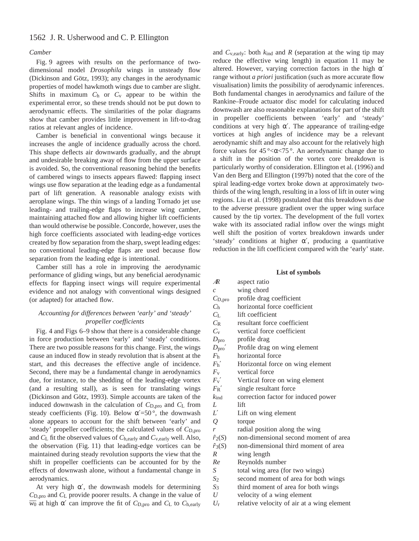### *Camber*

Fig. 9 agrees with results on the performance of twodimensional model *Drosophila* wings in unsteady flow (Dickinson and Götz, 1993); any changes in the aerodynamic properties of model hawkmoth wings due to camber are slight. Shifts in maximum *C*h or *C*v appear to be within the experimental error, so these trends should not be put down to aerodynamic effects. The similarities of the polar diagrams show that camber provides little improvement in lift-to-drag ratios at relevant angles of incidence.

Camber is beneficial in conventional wings because it increases the angle of incidence gradually across the chord. This shape deflects air downwards gradually, and the abrupt and undesirable breaking away of flow from the upper surface is avoided. So, the conventional reasoning behind the benefits of cambered wings to insects appears flawed: flapping insect wings use flow separation at the leading edge as a fundamental part of lift generation. A reasonable analogy exists with aeroplane wings. The thin wings of a landing Tornado jet use leading- and trailing-edge flaps to increase wing camber, maintaining attached flow and allowing higher lift coefficients than would otherwise be possible. Concorde, however, uses the high force coefficients associated with leading-edge vortices created by flow separation from the sharp, swept leading edges: no conventional leading-edge flaps are used because flow separation from the leading edge is intentional.

Camber still has a role in improving the aerodynamic performance of gliding wings, but any beneficial aerodynamic effects for flapping insect wings will require experimental evidence and not analogy with conventional wings designed (or adapted) for attached flow.

## *Accounting for differences between 'early' and 'steady' propeller coefficients*

Fig. 4 and Figs 6–9 show that there is a considerable change in force production between 'early' and 'steady' conditions. There are two possible reasons for this change. First, the wings cause an induced flow in steady revolution that is absent at the start, and this decreases the effective angle of incidence. Second, there may be a fundamental change in aerodynamics due, for instance, to the shedding of the leading-edge vortex (and a resulting stall), as is seen for translating wings (Dickinson and Götz, 1993). Simple accounts are taken of the induced downwash in the calculation of *C*D,pro and *C*L from steady coefficients (Fig. 10). Below  $\alpha' = 50^{\circ}$ , the downwash alone appears to account for the shift between 'early' and 'steady' propeller coefficients; the calculated values of *C*D,pro and *C*L fit the observed values of *C*h,early and *C*v,early well. Also, the observation (Fig. 11) that leading-edge vortices can be maintained during steady revolution supports the view that the shift in propeller coefficients can be accounted for by the effects of downwash alone, without a fundamental change in aerodynamics.

At very high  $\alpha'$ , the downwash models for determining *C*D,pro and *C*L provide poorer results. A change in the value of  $\frac{dE}{dVQ}$  at high  $\alpha'$  can improve the fit of *C*<sub>D,pro</sub> and *C*<sub>L</sub> to *C*<sub>h,early</sub>

and  $C_{v, \text{early}}$ : both  $k_{\text{ind}}$  and  $R$  (separation at the wing tip may reduce the effective wing length) in equation 11 may be altered. However, varying correction factors in the high  $\alpha'$ range without *a priori* justification (such as more accurate flow visualisation) limits the possibility of aerodynamic inferences. Both fundamental changes in aerodynamics and failure of the Rankine–Froude actuator disc model for calculating induced downwash are also reasonable explanations for part of the shift in propeller coefficients between 'early' and 'steady' conditions at very high  $\alpha'$ . The appearance of trailing-edge vortices at high angles of incidence may be a relevant aerodynamic shift and may also account for the relatively high force values for  $45^{\circ} < \alpha < 75^{\circ}$ . An aerodynamic change due to a shift in the position of the vortex core breakdown is particularly worthy of consideration. Ellington et al. (1996) and Van den Berg and Ellington (1997b) noted that the core of the spiral leading-edge vortex broke down at approximately twothirds of the wing length, resulting in a loss of lift in outer wing regions. Liu et al. (1998) postulated that this breakdown is due to the adverse pressure gradient over the upper wing surface caused by the tip vortex. The development of the full vortex wake with its associated radial inflow over the wings might well shift the position of vortex breakdown inwards under 'steady' conditions at higher  $\alpha'$ , producing a quantitative reduction in the lift coefficient compared with the 'early' state.

#### **List of symbols**

|                    | тизг от зушрота                            |
|--------------------|--------------------------------------------|
| $\mathcal{A}$ R    | aspect ratio                               |
| $\overline{c}$     | wing chord                                 |
| $C_{\text{D,pro}}$ | profile drag coefficient                   |
| C <sub>h</sub>     | horizontal force coefficient               |
| $C_{\rm L}$        | lift coefficient                           |
| $C_{R}$            | resultant force coefficient                |
| $C_{V}$            | vertical force coefficient                 |
| $D_{\rm pro}$      | profile drag                               |
| $D_{\text{pro}}'$  | Profile drag on wing element               |
| F <sub>h</sub>     | horizontal force                           |
| $F_h'$             | Horizontal force on wing element           |
| $F_{\rm v}$        | vertical force                             |
| $F_v'$             | Vertical force on wing element             |
| $F_{R}$ '          | single resultant force                     |
| $k_{\text{ind}}$   | correction factor for induced power        |
| L                  | lift                                       |
| L'                 | Lift on wing element                       |
| $\mathcal{Q}^-$    | torque                                     |
| $\mathfrak{r}$     | radial position along the wing             |
| $\hat{r}_2(S)$     | non-dimensional second moment of area      |
| $\hat{r}_3(S)$     | non-dimensional third moment of area       |
| $R_{\rm}$          | wing length                                |
| Re                 | Reynolds number                            |
| S                  | total wing area (for two wings)            |
| $S_2$              | second moment of area for both wings       |
| $S_3$              | third moment of area for both wings        |
| U                  | velocity of a wing element                 |
| $U_{\rm r}$        | relative velocity of air at a wing element |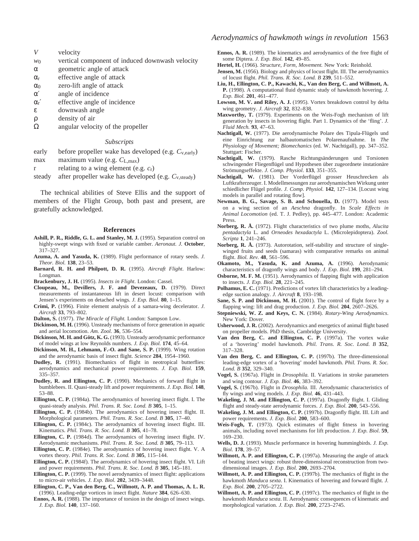- *V* velocity
- *w*0 vertical component of induced downwash velocity
- $\alpha$  geometric angle of attack
- $\alpha_r$  effective angle of attack
- $\alpha_0$  zero-lift angle of attack
- $\alpha'$  angle of incidence
- $\alpha_{r}'$  effective angle of incidence
- ε downwash angle
- ρ density of air
- Ω angular velocity of the propeller

#### *Subscripts*

| early  | before propeller wake has developed (e.g. $C_{v, \text{early}}$ ) |
|--------|-------------------------------------------------------------------|
| max    | maximum value (e.g. $C_{L, max}$ )                                |
|        | relating to a wing element (e.g. $c_{\rm r}$ )                    |
| steady | after propeller wake has developed (e.g. $C_{v,\text{steady}}$ )  |

The technical abilities of Steve Ellis and the support of members of the Flight Group, both past and present, are gratefully acknowledged.

#### **References**

- Ashill, P. R., Riddle, G. L. and Stanley, M. J. (1995). Separation control on highly-swept wings with fixed or variable camber. *Aeronaut. J.* **October**, 317–327.
- **Azuma, A. and Yasuda, K.** (1989). Flight performance of rotary seeds. *J. Theor. Biol.* **138**, 23–53.
- **Barnard, R. H. and Philpott, D. R.** (1995). *Aircraft Flight*. Harlow: Longman.
- **Brackenbury, J. H.** (1995). *Insects in Flight*. London: Cassel.
- **Cloupeau, M., Devillers, J. F. and Devezeaux, D.** (1979). Direct measurements of instantaneous lift in desert locust: comparison with Jensen's experiments on detached wings. *J. Exp. Biol.* **80**, 1–15.
- **Crimi, P.** (1996). Finite element analysis of a samara-wing decelerator. *J. Aircraft* **33**, 793–802.
- **Dalton, S.** (1977). *The Miracle of Flight.* London: Sampson Low.
- **Dickinson, M. H.** (1996). Unsteady mechanisms of force generation in aquatic and aerial locomotion. *Am. Zool.* **36**, 536–554.
- **Dickinson, M. H. and Götz, K. G.** (1993). Unsteady aerodynamic performance of model wings at low Reynolds numbers. *J. Exp. Biol.* **174**, 45–64.
- **Dickinson, M. H., Lehmann, F.-O. and Sane, S. P.** (1999). Wing rotation and the aerodynamic basis of insect flight. *Science* **284**, 1954–1960.
- **Dudley, R.** (1991). Biomechanics of flight in neotropical butterflies: aerodynamics and mechanical power requirements. *J. Exp. Biol.* **159**, 335–357.
- **Dudley, R. and Ellington, C. P.** (1990). Mechanics of forward flight in bumblebees. II. Quasi-steady lift and power requirements. *J. Exp. Biol.* **148**, 53–88.
- **Ellington, C. P.** (1984a). The aerodynamics of hovering insect flight. I. The quasi-steady analysis. *Phil. Trans. R. Soc. Lond. B* **305**, 1–15.
- **Ellington, C. P.** (1984b). The aerodynamics of hovering insect flight. II. Morphological parameters. *Phil. Trans. R. Soc. Lond. B* **305**, 17–40.
- **Ellington, C. P.** (1984c). The aerodynamics of hovering insect flight. III. Kinematics. *Phil. Trans. R. Soc. Lond. B* **305**, 41–78.
- **Ellington, C. P.** (1984d). The aerodynamics of hovering insect flight. IV. Aerodynamic mechanisms. *Phil. Trans. R. Soc. Lond. B* **305**, 79–113.
- **Ellington, C. P.** (1984e). The aerodynamics of hovering insect flight. V. A vortex theory. *Phil. Trans. R. Soc. Lond. B* **305**, 115–144.
- **Ellington, C. P.** (1984f). The aerodynamics of hovering insect flight. VI. Lift and power requirements. *Phil. Trans. R. Soc. Lond. B* **305**, 145–181.
- **Ellington, C. P.** (1999). The novel aerodynamics of insect flight: applications to micro-air vehicles. *J. Exp. Biol.* **202**, 3439–3448.
- **Ellington, C. P., Van den Berg, C., Willmott, A. P. and Thomas, A. L. R.** (1996). Leading-edge vortices in insect flight. *Nature* **384**, 626–630.
- **Ennos, A. R.** (1988). The importance of torsion in the design of insect wings. *J. Exp. Biol.* **140**, 137–160.
- **Ennos, A. R.** (1989). The kinematics and aerodynamics of the free flight of some Diptera. *J. Exp. Biol.* **142**, 49–85.
- **Hertel, H.** (1966). *Structure, Form, Movement.* New York: Reinhold.
- **Jensen, M.** (1956). Biology and physics of locust flight. III. The aerodynamics of locust flight. *Phil. Trans. R. Soc. Lond. B* **239**, 511–552.
- **Liu, H., Ellington, C. P., Kawachi, K., Van den Berg, C. and Willmott, A. P.** (1998). A computational fluid dynamic study of hawkmoth hovering. *J. Exp. Biol.* **201**, 461–477.
- **Lowson, M. V. and Riley, A. J.** (1995). Vortex breakdown control by delta wing geometry. *J. Aircraft* **32**, 832–838.
- **Maxworthy, T.** (1979). Experiments on the Weis-Fogh mechanism of lift generation by insects in hovering flight. Part 1. Dynamics of the 'fling'. *J. Fluid Mech.* **93**, 47–63.
- **Nachtigall, W.** (1977). Die aerodynamische Polare des Tipula-Flügels und eine Einrichtung zur halbautomatischen Polarenaufnahme. In *The Physiology of Movement; Biomechanics* (ed. W. Nachtigall), pp. 347–352. Stuttgart: Fischer.
- **Nachtigall, W.** (1979). Rasche Richtungsänderungen und Torsionen schwingender Fliegenflügel und Hypothesen über zugeordnete instationäre Strömungseffekte. *J. Comp. Physiol*. **133**, 351–355.
- **Nachtigall, W.** (1981). Der Vorderflügel grosser Heuschrecken als Luftkrafterzeuger. I. Modellmessungen zur aerodynamischen Wirkung unter schiedlicher Flügel profile. *J. Comp. Physiol.* **142**, 127–134. [Locust wing models in parallel and rotating flow].
- **Newman, B. G., Savage, S. B. and Schouella, D.** (1977). Model tests on a wing section of an *Aeschna* dragonfly. In *Scale Effects in Animal Locomotion* (ed. T. J. Pedley), pp. 445–477. London: Academic Press.
- **Norberg, R. Å.** (1972). Flight characteristics of two plume moths, *Alucita pentadactyla* L. and *Orneodes hexadactyla* L. (Microlepidoptera). *Zool. Scripta* **1**, 241–246.
- **Norberg, R. Å.** (1973). Autorotation, self-stability and structure of singlewinged fruits and seeds (samaras) with comparative remarks on animal flight. *Biol. Rev.* **48**, 561–596.
- **Okamoto, M., Yasuda, K. and Azuma, A.** (1996). Aerodynamic characteristics of dragonfly wings and body. *J. Exp. Biol.* **199**, 281–294.
- **Osborne, M. F. M.** (1951). Aerodynamics of flapping flight with application to insects. *J. Exp. Biol.* **28**, 221–245.
- **Polhamus, E. C.** (1971). Predictions of vortex lift characteristics by a leadingedge suction analogy. *J. Aircraft* **8**, 193–198.
- Sane, S. P. and Dickinson, M. H. (2001). The control of flight force by a flapping wing: lift and drag production. *J. Exp. Biol.* **204**, 2607–2626.
- **Stepniewski, W. Z. and Keys, C. N.** (1984). *Rotary-Wing Aerodynamics*. New York: Dover.
- Usherwood, J. R. (2002). Aerodynamics and energetics of animal flight based on propeller models. PhD thesis, Cambridge University.
- **Van den Berg, C. and Ellington, C. P.** (1997a). The vortex wake of a 'hovering' model hawkmoth. *Phil. Trans. R. Soc. Lond. B* **352**, 317–328.
- **Van den Berg, C. and Ellington, C. P.** (1997b). The three-dimensional leading-edge vortex of a 'hovering' model hawkmoth. *Phil. Trans. R. Soc. Lond. B* **352**, 329–340.
- **Vogel, S.** (1967a). Flight in *Drosophila.* II. Variations in stroke parameters and wing contour. *J. Exp. Biol.* **46**, 383–392.
- **Vogel, S.** (1967b). Flight in *Drosophila.* III. Aerodynamic characteristics of fly wings and wing models. *J. Exp. Biol.* **46**, 431–443.
- **Wakeling, J. M. and Ellington, C. P.** (1997a). Dragonfly flight. I. Gliding flight and steady-state aerodynamic forces. *J. Exp. Biol.* **200**, 543–556.
- **Wakeling, J. M. and Ellington, C. P.** (1997b). Dragonfly flight. III. Lift and power requirements. *J. Exp. Biol.* **200**, 583–600.
- **Weis-Fogh, T.** (1973). Quick estimates of flight fitness in hovering animals, including novel mechanisms for lift production. *J. Exp. Biol.* **59**, 169–230.
- **Wells, D. J.** (1993). Muscle performance in hovering hummingbirds. *J. Exp. Biol.* **178**, 39–57.
- **Willmott, A. P. and Ellington, C. P.** (1997a). Measuring the angle of attack of beating insect wings: robust three-dimensional reconstruction from twodimensional images. *J. Exp. Biol.* **200**, 2693–2704.
- **Willmott, A. P. and Ellington, C. P.** (1997b). The mechanics of flight in the hawkmoth *Manduca sexta*. I. Kinematics of hovering and forward flight. *J. Exp. Biol.* **200**, 2705–2722.
- **Willmott, A. P. and Ellington, C. P.** (1997c). The mechanics of flight in the hawkmoth *Manduca sexta*. II. Aerodynamic consequences of kinematic and morphological variation. *J. Exp. Biol.* **200**, 2723–2745.